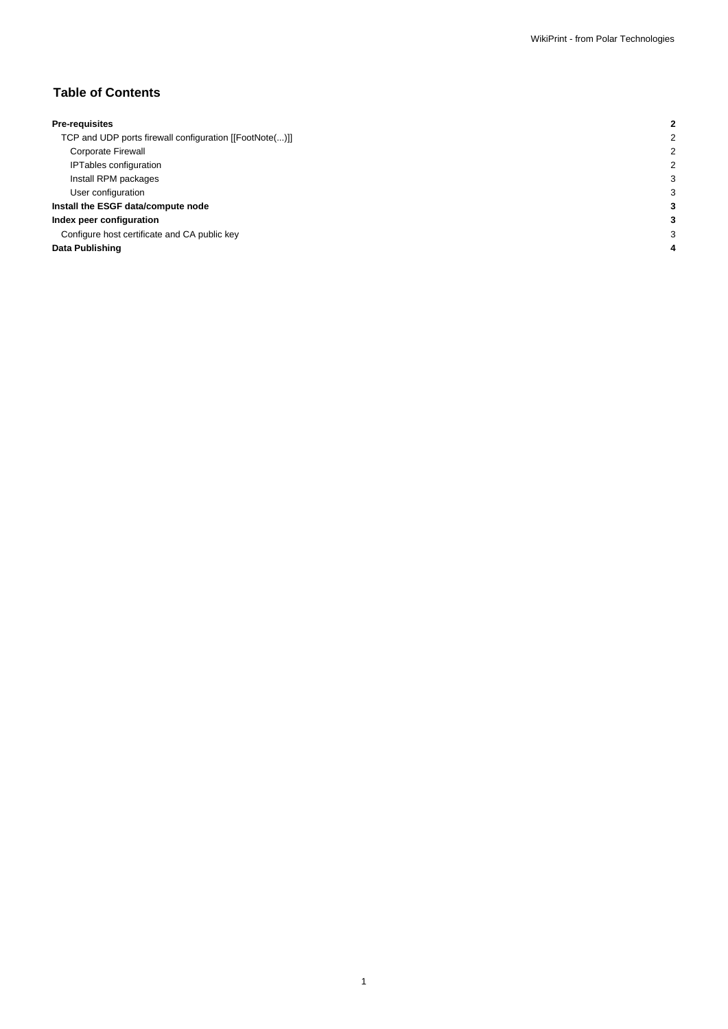## **Table of Contents**

| <b>Pre-requisites</b>                                   |  |
|---------------------------------------------------------|--|
| TCP and UDP ports firewall configuration [[FootNote()]] |  |
| Corporate Firewall                                      |  |
| <b>IPTables configuration</b>                           |  |
| Install RPM packages                                    |  |
| User configuration                                      |  |
| Install the ESGF data/compute node                      |  |
| Index peer configuration                                |  |
| Configure host certificate and CA public key            |  |
| Data Publishing                                         |  |
|                                                         |  |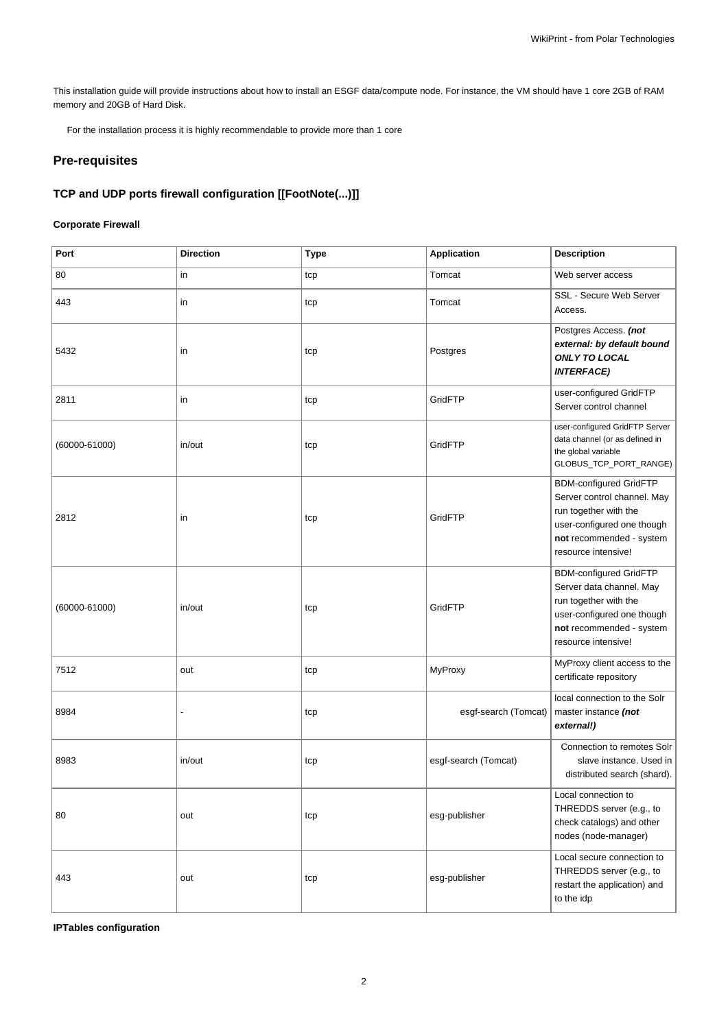This installation guide will provide instructions about how to install an ESGF data/compute node. For instance, the VM should have 1 core 2GB of RAM memory and 20GB of Hard Disk.

For the installation process it is highly recommendable to provide more than 1 core

# **Pre-requisites**

## **TCP and UDP ports firewall configuration [[FootNote(...)]]**

## **Corporate Firewall**

| Port              | <b>Direction</b> | <b>Type</b> | <b>Application</b>   | <b>Description</b>                                                                                                                                                     |
|-------------------|------------------|-------------|----------------------|------------------------------------------------------------------------------------------------------------------------------------------------------------------------|
| 80                | in               | tcp         | Tomcat               | Web server access                                                                                                                                                      |
| 443               | in               | tcp         | Tomcat               | SSL - Secure Web Server<br>Access.                                                                                                                                     |
| 5432              | in               | tcp         | Postgres             | Postgres Access. (not<br>external: by default bound<br><b>ONLY TO LOCAL</b><br><b>INTERFACE)</b>                                                                       |
| 2811              | in               | tcp         | GridFTP              | user-configured GridFTP<br>Server control channel                                                                                                                      |
| $(60000 - 61000)$ | in/out           | tcp         | GridFTP              | user-configured GridFTP Server<br>data channel (or as defined in<br>the global variable<br>GLOBUS_TCP_PORT_RANGE)                                                      |
| 2812              | in               | tcp         | GridFTP              | <b>BDM-configured GridFTP</b><br>Server control channel. May<br>run together with the<br>user-configured one though<br>not recommended - system<br>resource intensive! |
| $(60000 - 61000)$ | in/out           | tcp         | GridFTP              | <b>BDM-configured GridFTP</b><br>Server data channel. May<br>run together with the<br>user-configured one though<br>not recommended - system<br>resource intensive!    |
| 7512              | out              | tcp         | MyProxy              | MyProxy client access to the<br>certificate repository                                                                                                                 |
| 8984              |                  | tcp         | esgf-search (Tomcat) | local connection to the Solr<br>master instance (not<br>external!)                                                                                                     |
| 8983              | in/out           | tcp         | esgf-search (Tomcat) | Connection to remotes Solr<br>slave instance. Used in<br>distributed search (shard).                                                                                   |
| 80                | out              | tcp         | esg-publisher        | Local connection to<br>THREDDS server (e.g., to<br>check catalogs) and other<br>nodes (node-manager)                                                                   |
| 443               | out              | tcp         | esg-publisher        | Local secure connection to<br>THREDDS server (e.g., to<br>restart the application) and<br>to the idp                                                                   |

**IPTables configuration**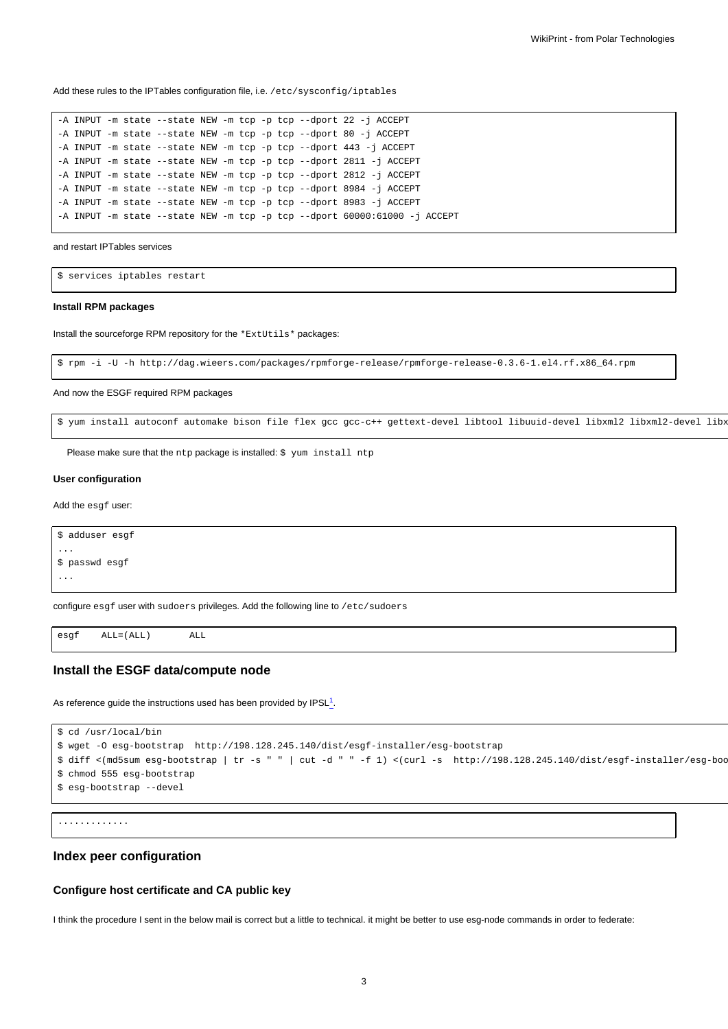Add these rules to the IPTables configuration file, i.e. /etc/sysconfig/iptables

```
-A INPUT -m state --state NEW -m tcp -p tcp --dport 22 -j ACCEPT
-A INPUT -m state --state NEW -m tcp -p tcp --dport 80 -j ACCEPT
-A INPUT -m state --state NEW -m tcp -p tcp --dport 443 -j ACCEPT
-A INPUT -m state --state NEW -m tcp -p tcp --dport 2811 -j ACCEPT
-A INPUT -m state --state NEW -m tcp -p tcp --dport 2812 -j ACCEPT
-A INPUT -m state --state NEW -m tcp -p tcp --dport 8984 -j ACCEPT
-A INPUT -m state --state NEW -m tcp -p tcp --dport 8983 -j ACCEPT
-A INPUT -m state --state NEW -m tcp -p tcp --dport 60000:61000 -j ACCEPT
```
and restart IPTables services

```
$ services iptables restart
```
#### **Install RPM packages**

Install the sourceforge RPM repository for the \*ExtUtils\* packages:

```
$ rpm -i -U -h http://dag.wieers.com/packages/rpmforge-release/rpmforge-release-0.3.6-1.el4.rf.x86_64.rpm
```
And now the ESGF required RPM packages

```
$ yum install autoconf automake bison file flex gcc gcc-c++ gettext-devel libtool libuuid-devel libxml2 libxml2-devel libx
```
Please make sure that the ntp package is installed: \$ yum install ntp

#### **User configuration**

Add the esgf user:

```
$ adduser esgf
...
$ passwd esgf
...
```
configure esgf user with sudoers privileges. Add the following line to /etc/sudoers

esgf ALL=(ALL) ALL

#### **Install the ESGF data/compute node**

As reference guide the instructions used has been provided by  $\text{IPSL}^1$ .

```
$ cd /usr/local/bin
$ wget -O esg-bootstrap http://198.128.245.140/dist/esgf-installer/esg-bootstrap
$diff < (md5sum esg-bookstrap | tr -s " || cut -d " " -f 1) < (curl -s http://198.128.245.140/dist/esgf-installer/esg-book00))$ chmod 555 esg-bootstrap
$ esg-bootstrap --devel
```

```
.............
```
### **Index peer configuration**

#### **Configure host certificate and CA public key**

I think the procedure I sent in the below mail is correct but a little to technical. it might be better to use esg-node commands in order to federate: